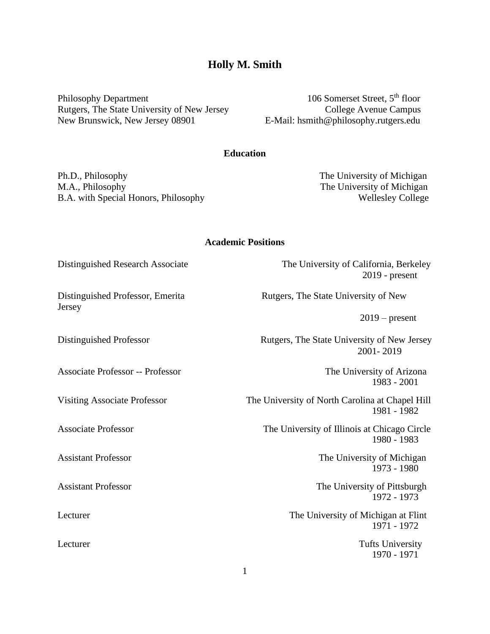**Academic Positions**

Distinguished Research Associate The University of California, Berkeley 2019 - present

Distinguished Professor, Emerita Rutgers, The State University of New

 $2019$  – present

Distinguished Professor Rutgers, The State University of New Jersey 2001- 2019

1983 - 2001

Visiting Associate Professor The University of North Carolina at Chapel Hill 1981 - 1982

Associate Professor The University of Illinois at Chicago Circle 1980 - 1983

Assistant Professor The University of Michigan 1973 - 1980

Assistant Professor The University of Pittsburgh 1972 - 1973

Lecturer The University of Michigan at Flint 1971 - 1972

Lecturer Tufts University 1970 - 1971

# **Holly M. Smith**

Philosophy Department 106 Somerset Street, 5<sup>th</sup> floor Rutgers, The State University of New Jersey College Avenue Campus New Brunswick, New Jersey 08901 E-Mail: hsmith@philosophy.rutgers.edu

## **Education**

Ph.D., Philosophy The University of Michigan M.A., Philosophy The University of Michigan B.A. with Special Honors, Philosophy Wellesley College

Jersey

Associate Professor -- Professor **The University of Arizona**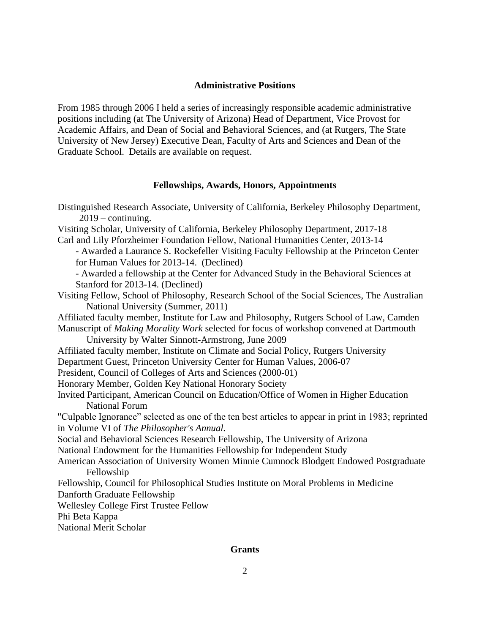## **Administrative Positions**

From 1985 through 2006 I held a series of increasingly responsible academic administrative positions including (at The University of Arizona) Head of Department, Vice Provost for Academic Affairs, and Dean of Social and Behavioral Sciences, and (at Rutgers, The State University of New Jersey) Executive Dean, Faculty of Arts and Sciences and Dean of the Graduate School. Details are available on request.

### **Fellowships, Awards, Honors, Appointments**

Distinguished Research Associate, University of California, Berkeley Philosophy Department,  $2019$  – continuing. Visiting Scholar, University of California, Berkeley Philosophy Department, 2017-18 Carl and Lily Pforzheimer Foundation Fellow, National Humanities Center, 2013-14 - Awarded a Laurance S. Rockefeller Visiting Faculty Fellowship at the Princeton Center for Human Values for 2013-14. (Declined) - Awarded a fellowship at the Center for Advanced Study in the Behavioral Sciences at Stanford for 2013-14. (Declined) Visiting Fellow, School of Philosophy, Research School of the Social Sciences, The Australian National University (Summer, 2011) Affiliated faculty member, Institute for Law and Philosophy, Rutgers School of Law, Camden Manuscript of *Making Morality Work* selected for focus of workshop convened at Dartmouth University by Walter Sinnott-Armstrong, June 2009 Affiliated faculty member, Institute on Climate and Social Policy, Rutgers University Department Guest, Princeton University Center for Human Values, 2006-07 President, Council of Colleges of Arts and Sciences (2000-01) Honorary Member, Golden Key National Honorary Society Invited Participant, American Council on Education/Office of Women in Higher Education National Forum "Culpable Ignorance" selected as one of the ten best articles to appear in print in 1983; reprinted in Volume VI of *The Philosopher's Annual.* Social and Behavioral Sciences Research Fellowship, The University of Arizona National Endowment for the Humanities Fellowship for Independent Study American Association of University Women Minnie Cumnock Blodgett Endowed Postgraduate Fellowship Fellowship, Council for Philosophical Studies Institute on Moral Problems in Medicine Danforth Graduate Fellowship Wellesley College First Trustee Fellow Phi Beta Kappa National Merit Scholar

## **Grants**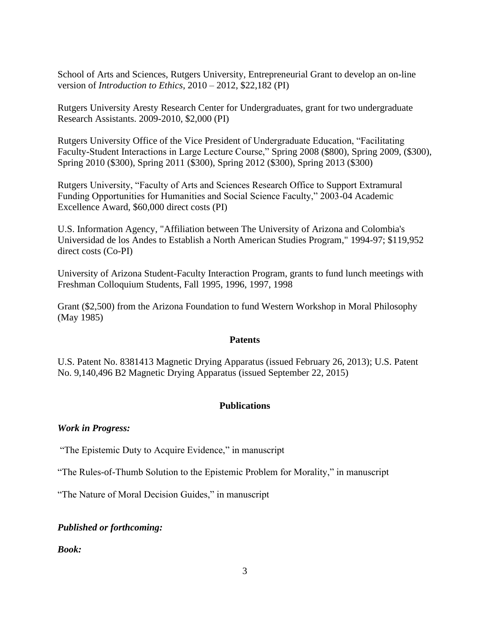School of Arts and Sciences, Rutgers University, Entrepreneurial Grant to develop an on-line version of *Introduction to Ethics*, 2010 – 2012, \$22,182 (PI)

Rutgers University Aresty Research Center for Undergraduates, grant for two undergraduate Research Assistants. 2009-2010, \$2,000 (PI)

Rutgers University Office of the Vice President of Undergraduate Education, "Facilitating Faculty-Student Interactions in Large Lecture Course," Spring 2008 (\$800), Spring 2009, (\$300), Spring 2010 (\$300), Spring 2011 (\$300), Spring 2012 (\$300), Spring 2013 (\$300)

Rutgers University, "Faculty of Arts and Sciences Research Office to Support Extramural Funding Opportunities for Humanities and Social Science Faculty," 2003-04 Academic Excellence Award, \$60,000 direct costs (PI)

U.S. Information Agency, "Affiliation between The University of Arizona and Colombia's Universidad de los Andes to Establish a North American Studies Program," 1994-97; \$119,952 direct costs (Co-PI)

University of Arizona Student-Faculty Interaction Program, grants to fund lunch meetings with Freshman Colloquium Students, Fall 1995, 1996, 1997, 1998

Grant (\$2,500) from the Arizona Foundation to fund Western Workshop in Moral Philosophy (May 1985)

## **Patents**

U.S. Patent No. 8381413 Magnetic Drying Apparatus (issued February 26, 2013); U.S. Patent No. 9,140,496 B2 Magnetic Drying Apparatus (issued September 22, 2015)

## **Publications**

## *Work in Progress:*

"The Epistemic Duty to Acquire Evidence," in manuscript

"The Rules-of-Thumb Solution to the Epistemic Problem for Morality," in manuscript

"The Nature of Moral Decision Guides," in manuscript

## *Published or forthcoming:*

*Book:*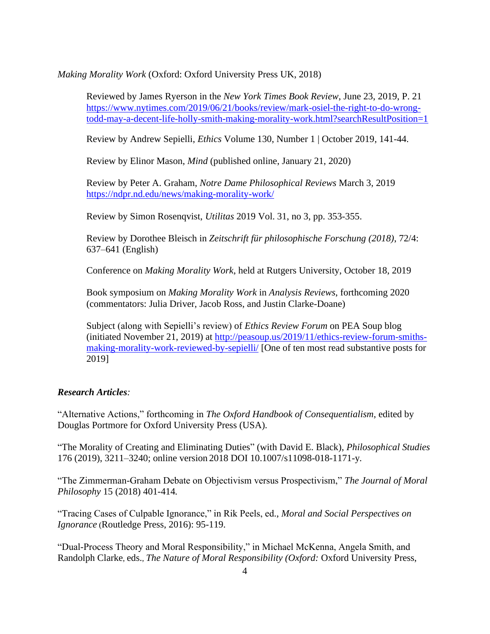*Making Morality Work* (Oxford: Oxford University Press UK, 2018)

Reviewed by James Ryerson in the *New York Times Book Review*, June 23, 2019, P. 21 [https://www.nytimes.com/2019/06/21/books/review/mark-osiel-the-right-to-do-wrong](https://www.nytimes.com/2019/06/21/books/review/mark-osiel-the-right-to-do-wrong-todd-may-a-decent-life-holly-smith-making-morality-work.html?searchResultPosition=1)[todd-may-a-decent-life-holly-smith-making-morality-work.html?searchResultPosition=1](https://www.nytimes.com/2019/06/21/books/review/mark-osiel-the-right-to-do-wrong-todd-may-a-decent-life-holly-smith-making-morality-work.html?searchResultPosition=1)

Review by Andrew Sepielli, *Ethics* [Volume 130, Number 1 | October 2019,](https://www.journals.uchicago.edu/stable/10.1086/et.2019.130.issue-1) 141-44.

Review by Elinor Mason, *Mind* (published online, January 21, 2020)

Review by Peter A. Graham, *Notre Dame Philosophical Reviews* March 3, 2019 <https://ndpr.nd.edu/news/making-morality-work/>

Review by Simon Rosenqvist, *Utilitas* 2019 Vol. 31, no 3, pp. 353-355.

Review by Dorothee Bleisch in *Zeitschrift für philosophische Forschung (2018)*, 72/4: 637–641 (English)

Conference on *Making Morality Work*, held at Rutgers University, October 18, 2019

Book symposium on *Making Morality Work* in *Analysis Reviews*, forthcoming 2020 (commentators: Julia Driver, Jacob Ross, and Justin Clarke-Doane)

Subject (along with Sepielli's review) of *Ethics Review Forum* on PEA Soup blog (initiated November 21, 2019) at [http://peasoup.us/2019/11/ethics-review-forum-smiths](http://peasoup.us/2019/11/ethics-review-forum-smiths-making-morality-work-reviewed-by-sepielli/)[making-morality-work-reviewed-by-sepielli/](http://peasoup.us/2019/11/ethics-review-forum-smiths-making-morality-work-reviewed-by-sepielli/) [One of ten most read substantive posts for 2019]

## *Research Articles:*

"Alternative Actions," forthcoming in *The Oxford Handbook of Consequentialism*, edited by Douglas Portmore for Oxford University Press (USA).

"The Morality of Creating and Eliminating Duties" (with David E. Black), *Philosophical Studies* 176 (2019), 3211–3240; online version 2018 DOI 10.1007/s11098-018-1171-y*.*

"The Zimmerman-Graham Debate on Objectivism versus Prospectivism," *The Journal of Moral Philosophy* 15 (2018) 401-414*.*

"Tracing Cases of Culpable Ignorance," in Rik Peels, ed., *Moral and Social Perspectives on Ignorance* (Routledge Press, 2016): 95-119.

"Dual-Process Theory and Moral Responsibility," in Michael McKenna, Angela Smith, and Randolph Clarke, eds., *The Nature of Moral Responsibility (Oxford:* Oxford University Press,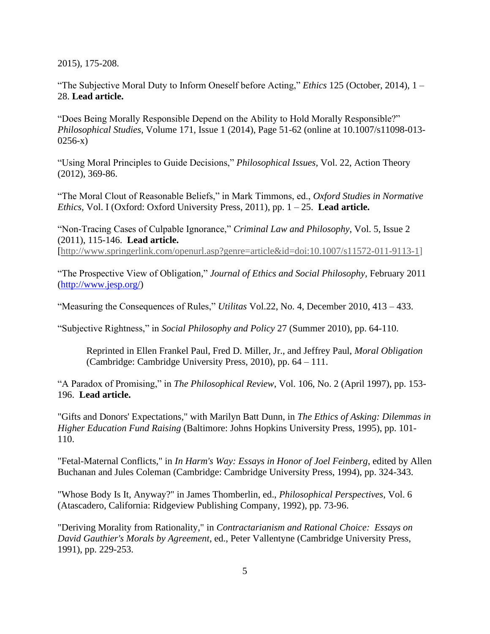2015), 175-208.

"The Subjective Moral Duty to Inform Oneself before Acting," *Ethics* 125 (October, 2014), 1 – 28. **Lead article.**

"Does Being Morally Responsible Depend on the Ability to Hold Morally Responsible?" *Philosophical Studies*, Volume 171, Issue 1 (2014), Page 51-62 (online at 10.1007/s11098-013- 0256-x)

"Using Moral Principles to Guide Decisions," *Philosophical Issues*, Vol. 22, Action Theory (2012), 369-86.

"The Moral Clout of Reasonable Beliefs," in Mark Timmons, ed., *Oxford Studies in Normative Ethics,* Vol. I (Oxford: Oxford University Press, 2011), pp. 1 – 25. **Lead article.**

"Non-Tracing Cases of Culpable Ignorance," *Criminal Law and Philosophy*, Vol. 5, Issue 2 (2011), 115-146. **Lead article.** [\[http://www.springerlink.com/openurl.asp?genre=article&id=doi:10.1007/s11572-011-9113-1\]](http://www.springer.com/alert/urltracking.do?id=L199809M7b795eSadf2529)

"The Prospective View of Obligation," *Journal of Ethics and Social Philosophy,* February 2011 [\(http://www.jesp.org/\)](http://www.jesp.org/)

"Measuring the Consequences of Rules," *Utilitas* Vol.22, No. 4, December 2010, 413 – 433.

"Subjective Rightness," in *Social Philosophy and Policy* 27 (Summer 2010), pp. 64-110.

Reprinted in Ellen Frankel Paul, Fred D. Miller, Jr., and Jeffrey Paul, *Moral Obligation* (Cambridge: Cambridge University Press, 2010), pp. 64 – 111.

"A Paradox of Promising," in *The Philosophical Review*, Vol. 106, No. 2 (April 1997), pp. 153- 196. **Lead article.**

"Gifts and Donors' Expectations," with Marilyn Batt Dunn, in *The Ethics of Asking: Dilemmas in Higher Education Fund Raising* (Baltimore: Johns Hopkins University Press, 1995), pp. 101- 110.

"Fetal-Maternal Conflicts," in *In Harm's Way: Essays in Honor of Joel Feinberg*, edited by Allen Buchanan and Jules Coleman (Cambridge: Cambridge University Press, 1994), pp. 324-343.

"Whose Body Is It, Anyway?" in James Thomberlin, ed., *Philosophical Perspectives*, Vol. 6 (Atascadero, California: Ridgeview Publishing Company, 1992), pp. 73-96.

"Deriving Morality from Rationality," in *Contractarianism and Rational Choice: Essays on David Gauthier's Morals by Agreement*, ed., Peter Vallentyne (Cambridge University Press, 1991), pp. 229-253.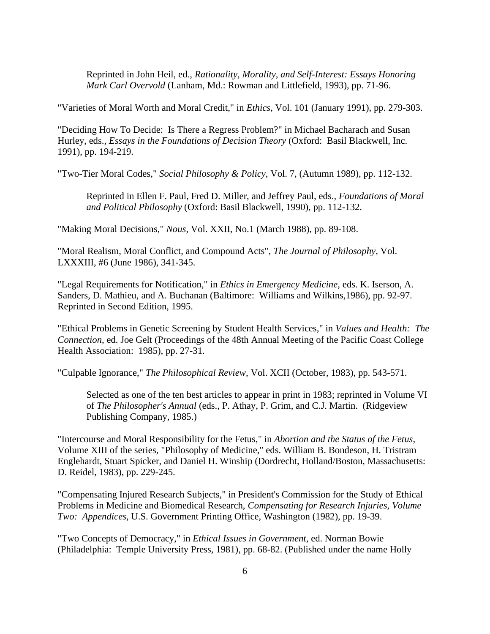Reprinted in John Heil, ed., *Rationality, Morality, and Self-Interest: Essays Honoring Mark Carl Overvold* (Lanham, Md.: Rowman and Littlefield, 1993), pp. 71-96.

"Varieties of Moral Worth and Moral Credit," in *Ethics*, Vol. 101 (January 1991), pp. 279-303.

"Deciding How To Decide: Is There a Regress Problem?" in Michael Bacharach and Susan Hurley, eds., *Essays in the Foundations of Decision Theory* (Oxford: Basil Blackwell, Inc. 1991), pp. 194-219.

"Two-Tier Moral Codes," *Social Philosophy & Policy*, Vol. 7, (Autumn 1989), pp. 112-132.

Reprinted in Ellen F. Paul, Fred D. Miller, and Jeffrey Paul, eds., *Foundations of Moral and Political Philosophy* (Oxford: Basil Blackwell, 1990), pp. 112-132.

"Making Moral Decisions," *Nous*, Vol. XXII, No.1 (March 1988), pp. 89-108.

"Moral Realism, Moral Conflict, and Compound Acts", *The Journal of Philosophy*, Vol. LXXXIII, #6 (June 1986), 341-345.

"Legal Requirements for Notification," in *Ethics in Emergency Medicine*, eds. K. Iserson, A. Sanders, D. Mathieu, and A. Buchanan (Baltimore: Williams and Wilkins,1986), pp. 92-97. Reprinted in Second Edition, 1995.

"Ethical Problems in Genetic Screening by Student Health Services," in *Values and Health: The Connection*, ed. Joe Gelt (Proceedings of the 48th Annual Meeting of the Pacific Coast College Health Association: 1985), pp. 27-31.

"Culpable Ignorance," *The Philosophical Review*, Vol. XCII (October, 1983), pp. 543-571.

Selected as one of the ten best articles to appear in print in 1983; reprinted in Volume VI of *The Philosopher's Annual* (eds., P. Athay, P. Grim, and C.J. Martin. (Ridgeview Publishing Company, 1985.)

"Intercourse and Moral Responsibility for the Fetus," in *Abortion and the Status of the Fetus*, Volume XIII of the series, "Philosophy of Medicine," eds. William B. Bondeson, H. Tristram Englehardt, Stuart Spicker, and Daniel H. Winship (Dordrecht, Holland/Boston, Massachusetts: D. Reidel, 1983), pp. 229-245.

"Compensating Injured Research Subjects," in President's Commission for the Study of Ethical Problems in Medicine and Biomedical Research, *Compensating for Research Injuries, Volume Two: Appendices*, U.S. Government Printing Office, Washington (1982), pp. 19-39.

"Two Concepts of Democracy," in *Ethical Issues in Government*, ed. Norman Bowie (Philadelphia: Temple University Press, 1981), pp. 68-82. (Published under the name Holly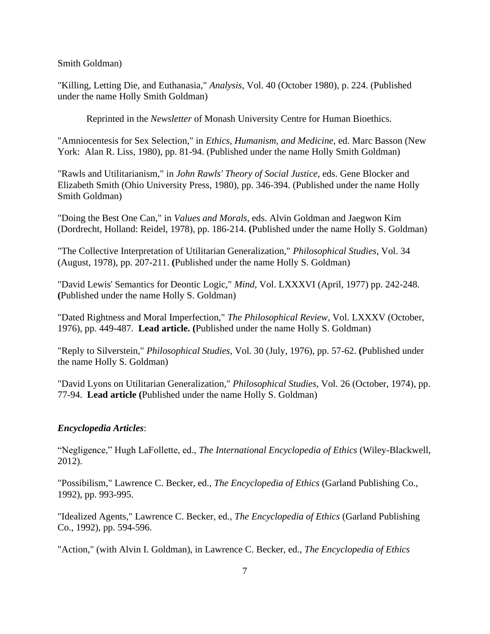Smith Goldman)

"Killing, Letting Die, and Euthanasia," *Analysis*, Vol. 40 (October 1980), p. 224. (Published under the name Holly Smith Goldman)

Reprinted in the *Newsletter* of Monash University Centre for Human Bioethics.

"Amniocentesis for Sex Selection," in *Ethics, Humanism, and Medicine*, ed. Marc Basson (New York: Alan R. Liss, 1980), pp. 81-94. (Published under the name Holly Smith Goldman)

"Rawls and Utilitarianism," in *John Rawls' Theory of Social Justice*, eds. Gene Blocker and Elizabeth Smith (Ohio University Press, 1980), pp. 346-394. (Published under the name Holly Smith Goldman)

"Doing the Best One Can," in *Values and Morals*, eds. Alvin Goldman and Jaegwon Kim (Dordrecht, Holland: Reidel, 1978), pp. 186-214. **(**Published under the name Holly S. Goldman)

"The Collective Interpretation of Utilitarian Generalization," *Philosophical Studies*, Vol. 34 (August, 1978), pp. 207-211. **(**Published under the name Holly S. Goldman)

"David Lewis' Semantics for Deontic Logic," *Mind*, Vol. LXXXVI (April, 1977) pp. 242-248. **(**Published under the name Holly S. Goldman)

"Dated Rightness and Moral Imperfection," *The Philosophical Review*, Vol. LXXXV (October, 1976), pp. 449-487. **Lead article. (**Published under the name Holly S. Goldman)

"Reply to Silverstein," *Philosophical Studies*, Vol. 30 (July, 1976), pp. 57-62. **(**Published under the name Holly S. Goldman)

"David Lyons on Utilitarian Generalization," *Philosophical Studies*, Vol. 26 (October, 1974), pp. 77-94. **Lead article (**Published under the name Holly S. Goldman)

## *Encyclopedia Articles*:

"Negligence," Hugh LaFollette, ed., *The International Encyclopedia of Ethics* (Wiley-Blackwell, 2012).

"Possibilism," Lawrence C. Becker, ed., *The Encyclopedia of Ethics* (Garland Publishing Co., 1992), pp. 993-995.

"Idealized Agents," Lawrence C. Becker, ed., *The Encyclopedia of Ethics* (Garland Publishing Co., 1992), pp. 594-596.

"Action," (with Alvin I. Goldman), in Lawrence C. Becker, ed., *The Encyclopedia of Ethics*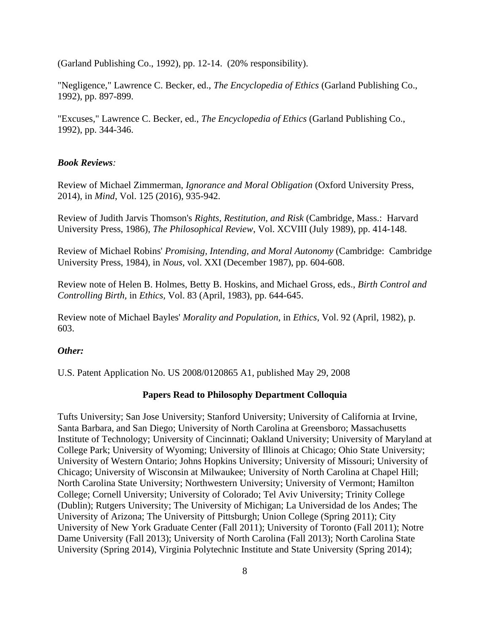(Garland Publishing Co., 1992), pp. 12-14. (20% responsibility).

"Negligence," Lawrence C. Becker, ed., *The Encyclopedia of Ethics* (Garland Publishing Co., 1992), pp. 897-899.

"Excuses," Lawrence C. Becker, ed., *The Encyclopedia of Ethics* (Garland Publishing Co., 1992), pp. 344-346.

### *Book Reviews:*

Review of Michael Zimmerman, *Ignorance and Moral Obligation* (Oxford University Press, 2014), in *Mind*, Vol. 125 (2016), 935-942.

Review of Judith Jarvis Thomson's *Rights, Restitution, and Risk* (Cambridge, Mass.: Harvard University Press, 1986), *The Philosophical Review*, Vol. XCVIII (July 1989), pp. 414-148.

Review of Michael Robins' *Promising, Intending, and Moral Autonomy* (Cambridge: Cambridge University Press, 1984), in *Nous,* vol. XXI (December 1987), pp. 604-608.

Review note of Helen B. Holmes, Betty B. Hoskins, and Michael Gross, eds., *Birth Control and Controlling Birth,* in *Ethics,* Vol. 83 (April, 1983), pp. 644-645.

Review note of Michael Bayles' *Morality and Population*, in *Ethics*, Vol. 92 (April, 1982), p. 603.

### *Other:*

U.S. Patent Application No. US 2008/0120865 A1, published May 29, 2008

#### **Papers Read to Philosophy Department Colloquia**

Tufts University; San Jose University; Stanford University; University of California at Irvine, Santa Barbara, and San Diego; University of North Carolina at Greensboro; Massachusetts Institute of Technology; University of Cincinnati; Oakland University; University of Maryland at College Park; University of Wyoming; University of Illinois at Chicago; Ohio State University; University of Western Ontario; Johns Hopkins University; University of Missouri; University of Chicago; University of Wisconsin at Milwaukee; University of North Carolina at Chapel Hill; North Carolina State University; Northwestern University; University of Vermont; Hamilton College; Cornell University; University of Colorado; Tel Aviv University; Trinity College (Dublin); Rutgers University; The University of Michigan; La Universidad de los Andes; The University of Arizona; The University of Pittsburgh; Union College (Spring 2011); City University of New York Graduate Center (Fall 2011); University of Toronto (Fall 2011); Notre Dame University (Fall 2013); University of North Carolina (Fall 2013); North Carolina State University (Spring 2014), Virginia Polytechnic Institute and State University (Spring 2014);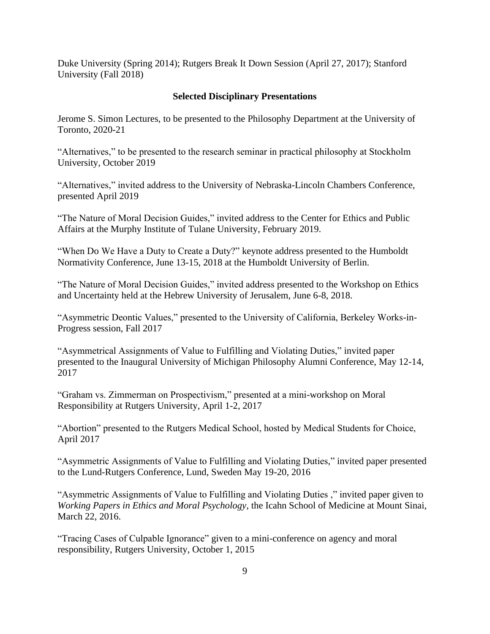Duke University (Spring 2014); Rutgers Break It Down Session (April 27, 2017); Stanford University (Fall 2018)

## **Selected Disciplinary Presentations**

Jerome S. Simon Lectures, to be presented to the Philosophy Department at the University of Toronto, 2020-21

"Alternatives," to be presented to the research seminar in practical philosophy at Stockholm University, October 2019

"Alternatives," invited address to the University of Nebraska-Lincoln Chambers Conference, presented April 2019

"The Nature of Moral Decision Guides," invited address to the Center for Ethics and Public Affairs at the Murphy Institute of Tulane University, February 2019.

"When Do We Have a Duty to Create a Duty?" keynote address presented to the Humboldt Normativity Conference, June 13-15, 2018 at the Humboldt University of Berlin.

"The Nature of Moral Decision Guides," invited address presented to the Workshop on Ethics and Uncertainty held at the Hebrew University of Jerusalem, June 6-8, 2018.

"Asymmetric Deontic Values," presented to the University of California, Berkeley Works-in-Progress session, Fall 2017

"Asymmetrical Assignments of Value to Fulfilling and Violating Duties," invited paper presented to the Inaugural University of Michigan Philosophy Alumni Conference, May 12-14, 2017

"Graham vs. Zimmerman on Prospectivism," presented at a mini-workshop on Moral Responsibility at Rutgers University, April 1-2, 2017

"Abortion" presented to the Rutgers Medical School, hosted by Medical Students for Choice, April 2017

"Asymmetric Assignments of Value to Fulfilling and Violating Duties," invited paper presented to the Lund-Rutgers Conference, Lund, Sweden May 19-20, 2016

"Asymmetric Assignments of Value to Fulfilling and Violating Duties ," invited paper given to *Working Papers in Ethics and Moral Psychology*, the Icahn School of Medicine at Mount Sinai, March 22, 2016.

"Tracing Cases of Culpable Ignorance" given to a mini-conference on agency and moral responsibility, Rutgers University, October 1, 2015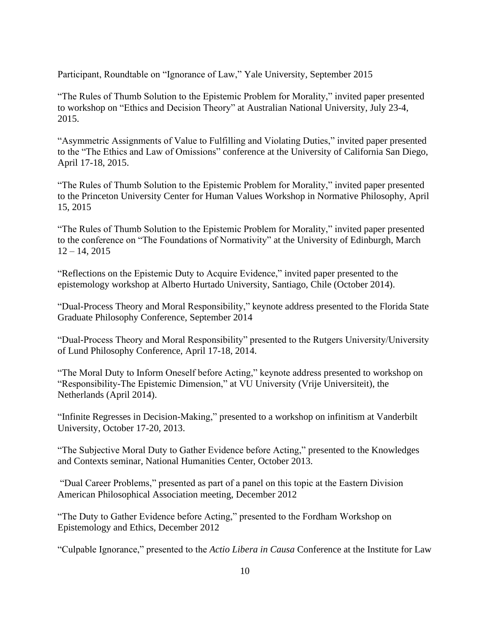Participant, Roundtable on "Ignorance of Law," Yale University, September 2015

"The Rules of Thumb Solution to the Epistemic Problem for Morality," invited paper presented to workshop on "Ethics and Decision Theory" at Australian National University, July 23-4, 2015.

"Asymmetric Assignments of Value to Fulfilling and Violating Duties," invited paper presented to the "The Ethics and Law of Omissions" conference at the University of California San Diego, April 17-18, 2015.

"The Rules of Thumb Solution to the Epistemic Problem for Morality," invited paper presented to the Princeton University Center for Human Values Workshop in Normative Philosophy, April 15, 2015

"The Rules of Thumb Solution to the Epistemic Problem for Morality," invited paper presented to the conference on "The Foundations of Normativity" at the University of Edinburgh, March  $12 - 14, 2015$ 

"Reflections on the Epistemic Duty to Acquire Evidence," invited paper presented to the epistemology workshop at Alberto Hurtado University, Santiago, Chile (October 2014).

"Dual-Process Theory and Moral Responsibility," keynote address presented to the Florida State Graduate Philosophy Conference, September 2014

"Dual-Process Theory and Moral Responsibility" presented to the Rutgers University/University of Lund Philosophy Conference, April 17-18, 2014.

"The Moral Duty to Inform Oneself before Acting," keynote address presented to workshop on "Responsibility-The Epistemic Dimension," at VU University (Vrije Universiteit), the Netherlands (April 2014).

"Infinite Regresses in Decision-Making," presented to a workshop on infinitism at Vanderbilt University, October 17-20, 2013.

"The Subjective Moral Duty to Gather Evidence before Acting," presented to the Knowledges and Contexts seminar, National Humanities Center, October 2013.

"Dual Career Problems," presented as part of a panel on this topic at the Eastern Division American Philosophical Association meeting, December 2012

"The Duty to Gather Evidence before Acting," presented to the Fordham Workshop on Epistemology and Ethics, December 2012

"Culpable Ignorance," presented to the *Actio Libera in Causa* Conference at the Institute for Law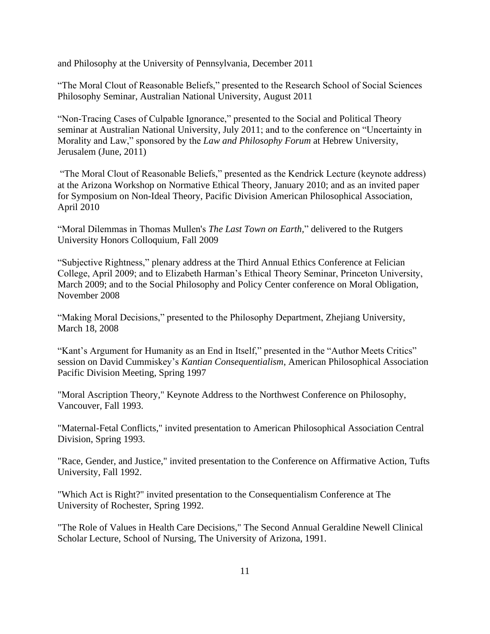and Philosophy at the University of Pennsylvania, December 2011

"The Moral Clout of Reasonable Beliefs," presented to the Research School of Social Sciences Philosophy Seminar, Australian National University, August 2011

"Non-Tracing Cases of Culpable Ignorance," presented to the Social and Political Theory seminar at Australian National University, July 2011; and to the conference on "Uncertainty in Morality and Law," sponsored by the *Law and Philosophy Forum* at Hebrew University, Jerusalem (June, 2011)

"The Moral Clout of Reasonable Beliefs," presented as the Kendrick Lecture (keynote address) at the Arizona Workshop on Normative Ethical Theory, January 2010; and as an invited paper for Symposium on Non-Ideal Theory, Pacific Division American Philosophical Association, April 2010

"Moral Dilemmas in Thomas Mullen's *The Last Town on Earth,*" delivered to the Rutgers University Honors Colloquium, Fall 2009

"Subjective Rightness," plenary address at the Third Annual Ethics Conference at Felician College, April 2009; and to Elizabeth Harman's Ethical Theory Seminar, Princeton University, March 2009; and to the Social Philosophy and Policy Center conference on Moral Obligation, November 2008

"Making Moral Decisions," presented to the Philosophy Department, Zhejiang University, March 18, 2008

"Kant's Argument for Humanity as an End in Itself," presented in the "Author Meets Critics" session on David Cummiskey's *Kantian Consequentialism*, American Philosophical Association Pacific Division Meeting, Spring 1997

"Moral Ascription Theory," Keynote Address to the Northwest Conference on Philosophy, Vancouver, Fall 1993.

"Maternal-Fetal Conflicts," invited presentation to American Philosophical Association Central Division, Spring 1993.

"Race, Gender, and Justice," invited presentation to the Conference on Affirmative Action, Tufts University, Fall 1992.

"Which Act is Right?" invited presentation to the Consequentialism Conference at The University of Rochester, Spring 1992.

"The Role of Values in Health Care Decisions," The Second Annual Geraldine Newell Clinical Scholar Lecture, School of Nursing, The University of Arizona, 1991.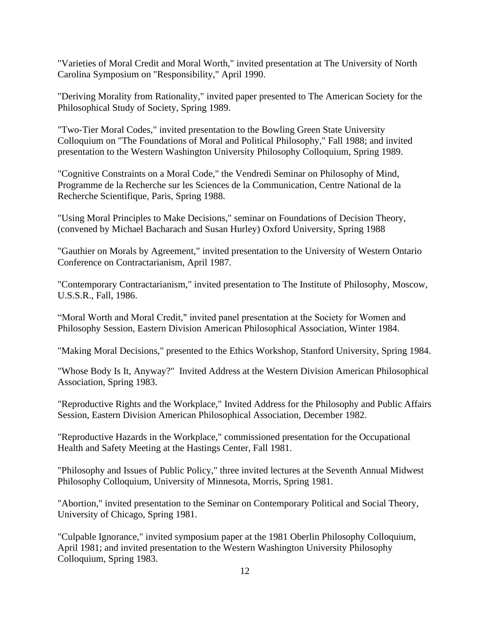"Varieties of Moral Credit and Moral Worth," invited presentation at The University of North Carolina Symposium on "Responsibility," April 1990.

"Deriving Morality from Rationality," invited paper presented to The American Society for the Philosophical Study of Society, Spring 1989.

"Two-Tier Moral Codes," invited presentation to the Bowling Green State University Colloquium on "The Foundations of Moral and Political Philosophy," Fall 1988; and invited presentation to the Western Washington University Philosophy Colloquium, Spring 1989.

"Cognitive Constraints on a Moral Code," the Vendredi Seminar on Philosophy of Mind, Programme de la Recherche sur les Sciences de la Communication, Centre National de la Recherche Scientifique, Paris, Spring 1988.

"Using Moral Principles to Make Decisions," seminar on Foundations of Decision Theory, (convened by Michael Bacharach and Susan Hurley) Oxford University, Spring 1988

"Gauthier on Morals by Agreement," invited presentation to the University of Western Ontario Conference on Contractarianism, April 1987.

"Contemporary Contractarianism," invited presentation to The Institute of Philosophy, Moscow, U.S.S.R., Fall, 1986.

"Moral Worth and Moral Credit," invited panel presentation at the Society for Women and Philosophy Session, Eastern Division American Philosophical Association, Winter 1984.

"Making Moral Decisions," presented to the Ethics Workshop, Stanford University, Spring 1984.

"Whose Body Is It, Anyway?" Invited Address at the Western Division American Philosophical Association, Spring 1983.

"Reproductive Rights and the Workplace," Invited Address for the Philosophy and Public Affairs Session, Eastern Division American Philosophical Association, December 1982.

"Reproductive Hazards in the Workplace," commissioned presentation for the Occupational Health and Safety Meeting at the Hastings Center, Fall 1981.

"Philosophy and Issues of Public Policy," three invited lectures at the Seventh Annual Midwest Philosophy Colloquium, University of Minnesota, Morris, Spring 1981.

"Abortion," invited presentation to the Seminar on Contemporary Political and Social Theory, University of Chicago, Spring 1981.

"Culpable Ignorance," invited symposium paper at the 1981 Oberlin Philosophy Colloquium, April 1981; and invited presentation to the Western Washington University Philosophy Colloquium, Spring 1983.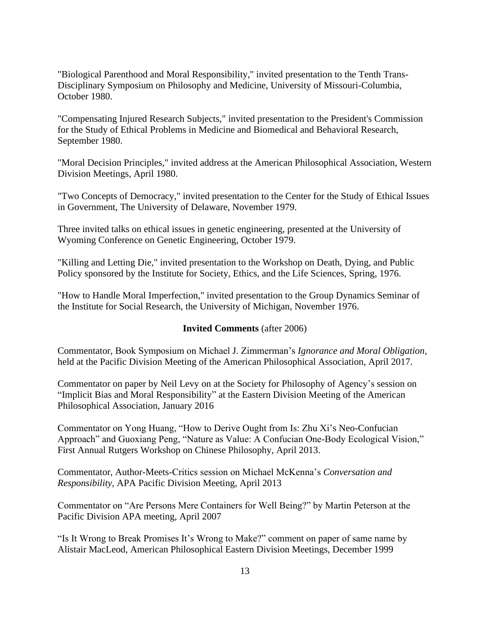"Biological Parenthood and Moral Responsibility," invited presentation to the Tenth Trans-Disciplinary Symposium on Philosophy and Medicine, University of Missouri-Columbia, October 1980.

"Compensating Injured Research Subjects," invited presentation to the President's Commission for the Study of Ethical Problems in Medicine and Biomedical and Behavioral Research, September 1980.

"Moral Decision Principles," invited address at the American Philosophical Association, Western Division Meetings, April 1980.

"Two Concepts of Democracy," invited presentation to the Center for the Study of Ethical Issues in Government, The University of Delaware, November 1979.

Three invited talks on ethical issues in genetic engineering, presented at the University of Wyoming Conference on Genetic Engineering, October 1979.

"Killing and Letting Die," invited presentation to the Workshop on Death, Dying, and Public Policy sponsored by the Institute for Society, Ethics, and the Life Sciences, Spring, 1976.

"How to Handle Moral Imperfection," invited presentation to the Group Dynamics Seminar of the Institute for Social Research, the University of Michigan, November 1976.

### **Invited Comments** (after 2006)

Commentator, Book Symposium on Michael J. Zimmerman's *Ignorance and Moral Obligation,* held at the Pacific Division Meeting of the American Philosophical Association, April 2017.

Commentator on paper by Neil Levy on at the Society for Philosophy of Agency's session on "Implicit Bias and Moral Responsibility" at the Eastern Division Meeting of the American Philosophical Association, January 2016

Commentator on Yong Huang, "How to Derive Ought from Is: Zhu Xi's Neo-Confucian Approach" and Guoxiang Peng, "Nature as Value: A Confucian One-Body Ecological Vision," First Annual Rutgers Workshop on Chinese Philosophy, April 2013.

Commentator, Author-Meets-Critics session on Michael McKenna's *Conversation and Responsibility,* APA Pacific Division Meeting, April 2013

Commentator on "Are Persons Mere Containers for Well Being?" by Martin Peterson at the Pacific Division APA meeting, April 2007

"Is It Wrong to Break Promises It's Wrong to Make?" comment on paper of same name by Alistair MacLeod, American Philosophical Eastern Division Meetings, December 1999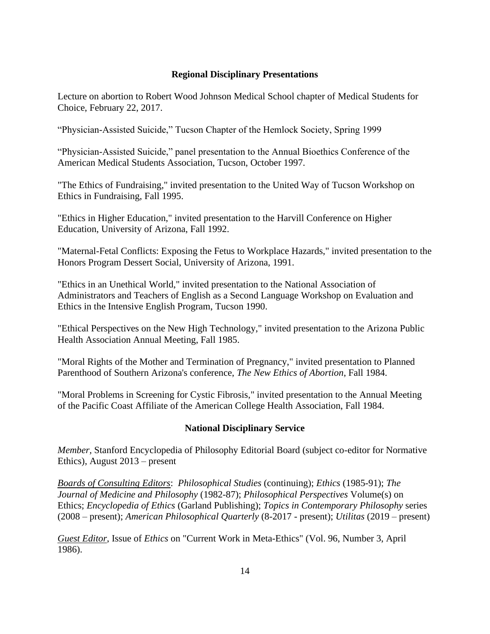## **Regional Disciplinary Presentations**

Lecture on abortion to Robert Wood Johnson Medical School chapter of Medical Students for Choice, February 22, 2017.

"Physician-Assisted Suicide," Tucson Chapter of the Hemlock Society, Spring 1999

"Physician-Assisted Suicide," panel presentation to the Annual Bioethics Conference of the American Medical Students Association, Tucson, October 1997.

"The Ethics of Fundraising," invited presentation to the United Way of Tucson Workshop on Ethics in Fundraising, Fall 1995.

"Ethics in Higher Education," invited presentation to the Harvill Conference on Higher Education, University of Arizona, Fall 1992.

"Maternal-Fetal Conflicts: Exposing the Fetus to Workplace Hazards," invited presentation to the Honors Program Dessert Social, University of Arizona, 1991.

"Ethics in an Unethical World," invited presentation to the National Association of Administrators and Teachers of English as a Second Language Workshop on Evaluation and Ethics in the Intensive English Program, Tucson 1990.

"Ethical Perspectives on the New High Technology," invited presentation to the Arizona Public Health Association Annual Meeting, Fall 1985.

"Moral Rights of the Mother and Termination of Pregnancy," invited presentation to Planned Parenthood of Southern Arizona's conference, *The New Ethics of Abortion*, Fall 1984.

"Moral Problems in Screening for Cystic Fibrosis," invited presentation to the Annual Meeting of the Pacific Coast Affiliate of the American College Health Association, Fall 1984.

## **National Disciplinary Service**

*Member,* Stanford Encyclopedia of Philosophy Editorial Board (subject co-editor for Normative Ethics), August 2013 – present

*Boards of Consulting Editors*: *Philosophical Studies* (continuing); *Ethics* (1985-91); *The Journal of Medicine and Philosophy* (1982-87); *Philosophical Perspectives* Volume(s) on Ethics; *Encyclopedia of Ethics* (Garland Publishing); *Topics in Contemporary Philosophy* series (2008 – present); *American Philosophical Quarterly* (8-2017 - present); *Utilitas* (2019 – present)

*Guest Editor*, Issue of *Ethics* on "Current Work in Meta-Ethics" (Vol. 96, Number 3, April 1986).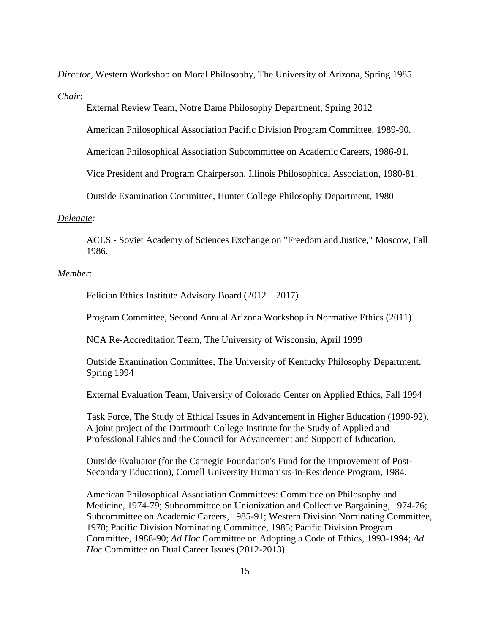*Director*, Western Workshop on Moral Philosophy, The University of Arizona, Spring 1985.

*Chair*:

External Review Team, Notre Dame Philosophy Department, Spring 2012

American Philosophical Association Pacific Division Program Committee, 1989-90.

American Philosophical Association Subcommittee on Academic Careers, 1986-91.

Vice President and Program Chairperson, Illinois Philosophical Association, 1980-81.

Outside Examination Committee, Hunter College Philosophy Department, 1980

#### *Delegate:*

ACLS - Soviet Academy of Sciences Exchange on "Freedom and Justice," Moscow, Fall 1986.

## *Member*:

Felician Ethics Institute Advisory Board (2012 – 2017)

Program Committee, Second Annual Arizona Workshop in Normative Ethics (2011)

NCA Re-Accreditation Team, The University of Wisconsin, April 1999

Outside Examination Committee, The University of Kentucky Philosophy Department, Spring 1994

External Evaluation Team, University of Colorado Center on Applied Ethics, Fall 1994

Task Force, The Study of Ethical Issues in Advancement in Higher Education (1990-92). A joint project of the Dartmouth College Institute for the Study of Applied and Professional Ethics and the Council for Advancement and Support of Education.

Outside Evaluator (for the Carnegie Foundation's Fund for the Improvement of Post-Secondary Education), Cornell University Humanists-in-Residence Program, 1984.

American Philosophical Association Committees: Committee on Philosophy and Medicine, 1974-79; Subcommittee on Unionization and Collective Bargaining, 1974-76; Subcommittee on Academic Careers, 1985-91; Western Division Nominating Committee, 1978; Pacific Division Nominating Committee, 1985; Pacific Division Program Committee, 1988-90; *Ad Hoc* Committee on Adopting a Code of Ethics, 1993-1994; *Ad Hoc* Committee on Dual Career Issues (2012-2013)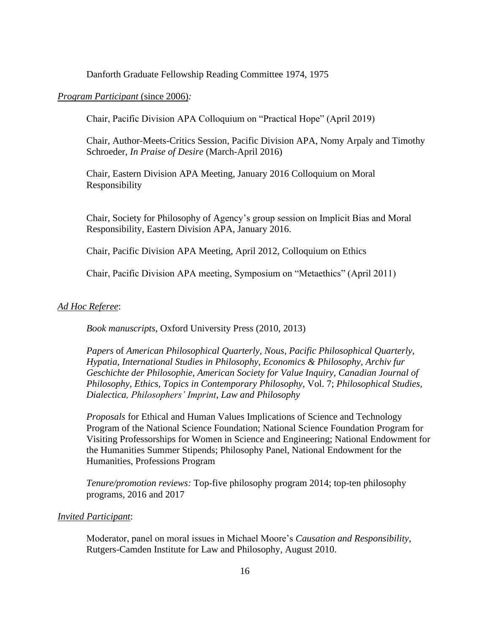Danforth Graduate Fellowship Reading Committee 1974, 1975

#### *Program Participant* (since 2006)*:*

Chair, Pacific Division APA Colloquium on "Practical Hope" (April 2019)

Chair, Author-Meets-Critics Session, Pacific Division APA, Nomy Arpaly and Timothy Schroeder, *In Praise of Desire* (March-April 2016)

Chair, Eastern Division APA Meeting, January 2016 Colloquium on Moral Responsibility

Chair, Society for Philosophy of Agency's group session on Implicit Bias and Moral Responsibility, Eastern Division APA, January 2016.

Chair, Pacific Division APA Meeting, April 2012, Colloquium on Ethics

Chair, Pacific Division APA meeting, Symposium on "Metaethics" (April 2011)

#### *Ad Hoc Referee*:

*Book manuscripts*, Oxford University Press (2010, 2013)

*Papers* of *American Philosophical Quarterly, Nous, Pacific Philosophical Quarterly, Hypatia, International Studies in Philosophy, Economics & Philosophy, Archiv fur Geschichte der Philosophie, American Society for Value Inquiry, Canadian Journal of Philosophy, Ethics, Topics in Contemporary Philosophy,* Vol. 7; *Philosophical Studies, Dialectica, Philosophers' Imprint, Law and Philosophy*

*Proposals* for Ethical and Human Values Implications of Science and Technology Program of the National Science Foundation; National Science Foundation Program for Visiting Professorships for Women in Science and Engineering; National Endowment for the Humanities Summer Stipends; Philosophy Panel, National Endowment for the Humanities, Professions Program

*Tenure/promotion reviews:* Top-five philosophy program 2014; top-ten philosophy programs, 2016 and 2017

#### *Invited Participant*:

Moderator, panel on moral issues in Michael Moore's *Causation and Responsibility*, Rutgers-Camden Institute for Law and Philosophy, August 2010.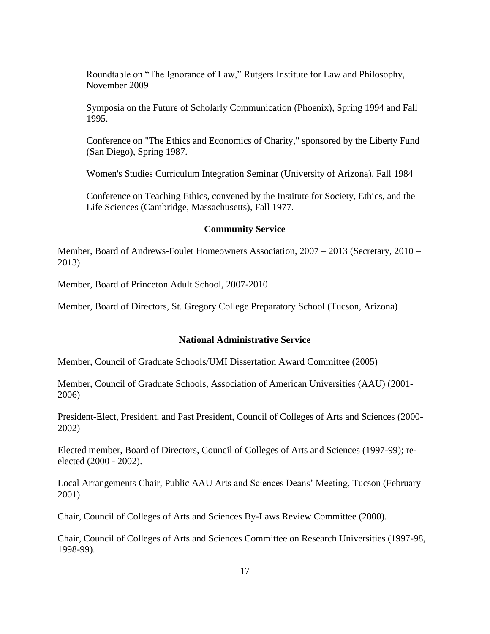Roundtable on "The Ignorance of Law," Rutgers Institute for Law and Philosophy, November 2009

Symposia on the Future of Scholarly Communication (Phoenix), Spring 1994 and Fall 1995.

Conference on "The Ethics and Economics of Charity," sponsored by the Liberty Fund (San Diego), Spring 1987.

Women's Studies Curriculum Integration Seminar (University of Arizona), Fall 1984

Conference on Teaching Ethics, convened by the Institute for Society, Ethics, and the Life Sciences (Cambridge, Massachusetts), Fall 1977.

#### **Community Service**

Member, Board of Andrews-Foulet Homeowners Association, 2007 – 2013 (Secretary, 2010 – 2013)

Member, Board of Princeton Adult School, 2007-2010

Member, Board of Directors, St. Gregory College Preparatory School (Tucson, Arizona)

## **National Administrative Service**

Member, Council of Graduate Schools/UMI Dissertation Award Committee (2005)

Member, Council of Graduate Schools, Association of American Universities (AAU) (2001- 2006)

President-Elect, President, and Past President, Council of Colleges of Arts and Sciences (2000- 2002)

Elected member, Board of Directors, Council of Colleges of Arts and Sciences (1997-99); reelected (2000 - 2002).

Local Arrangements Chair, Public AAU Arts and Sciences Deans' Meeting, Tucson (February 2001)

Chair, Council of Colleges of Arts and Sciences By-Laws Review Committee (2000).

Chair, Council of Colleges of Arts and Sciences Committee on Research Universities (1997-98, 1998-99).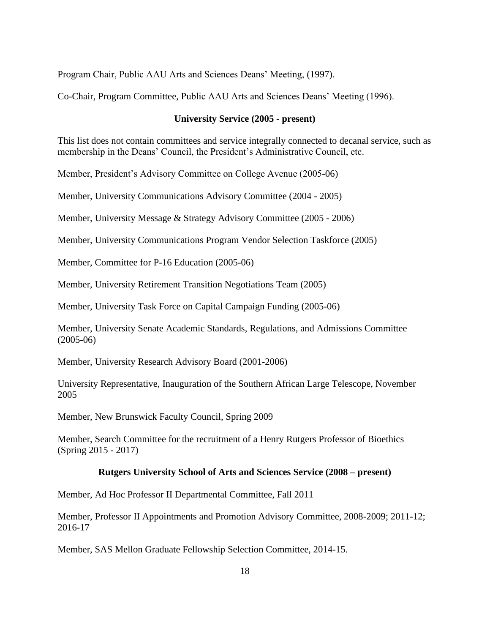Program Chair, Public AAU Arts and Sciences Deans' Meeting, (1997).

Co-Chair, Program Committee, Public AAU Arts and Sciences Deans' Meeting (1996).

#### **University Service (2005 - present)**

This list does not contain committees and service integrally connected to decanal service, such as membership in the Deans' Council, the President's Administrative Council, etc.

Member, President's Advisory Committee on College Avenue (2005-06)

Member, University Communications Advisory Committee (2004 - 2005)

Member, University Message & Strategy Advisory Committee (2005 - 2006)

Member, University Communications Program Vendor Selection Taskforce (2005)

Member, Committee for P-16 Education (2005-06)

Member, University Retirement Transition Negotiations Team (2005)

Member, University Task Force on Capital Campaign Funding (2005-06)

Member, University Senate Academic Standards, Regulations, and Admissions Committee (2005-06)

Member, University Research Advisory Board (2001-2006)

University Representative, Inauguration of the Southern African Large Telescope, November 2005

Member, New Brunswick Faculty Council, Spring 2009

Member, Search Committee for the recruitment of a Henry Rutgers Professor of Bioethics (Spring 2015 - 2017)

#### **Rutgers University School of Arts and Sciences Service (2008 – present)**

Member, Ad Hoc Professor II Departmental Committee, Fall 2011

Member, Professor II Appointments and Promotion Advisory Committee, 2008-2009; 2011-12; 2016-17

Member, SAS Mellon Graduate Fellowship Selection Committee, 2014-15.